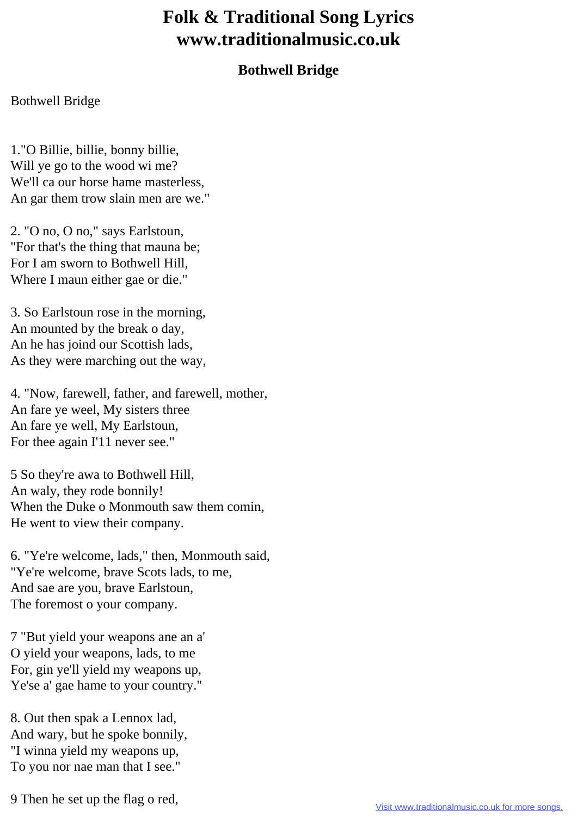## **Folk & Traditional Song Lyrics www.traditionalmusic.co.uk**

## **Bothwell Bridge**

Bothwell Bridge

1."O Billie, billie, bonny billie, Will ye go to the wood wi me? We'll ca our horse hame masterless, An gar them trow slain men are we."

2. "O no, O no," says Earlstoun, "For that's the thing that mauna be; For I am sworn to Bothwell Hill, Where I maun either gae or die."

3. So Earlstoun rose in the morning, An mounted by the break o day, An he has joind our Scottish lads, As they were marching out the way,

4. "Now, farewell, father, and farewell, mother, An fare ye weel, My sisters three An fare ye well, My Earlstoun, For thee again I'11 never see."

5 So they're awa to Bothwell Hill, An waly, they rode bonnily! When the Duke o Monmouth saw them comin, He went to view their company.

6. "Ye're welcome, lads," then, Monmouth said, "Ye're welcome, brave Scots lads, to me, And sae are you, brave Earlstoun, The foremost o your company.

7 "But yield your weapons ane an a' O yield your weapons, lads, to me For, gin ye'll yield my weapons up, Ye'se a' gae hame to your country."

8. Out then spak a Lennox lad, And wary, but he spoke bonnily, "I winna yield my weapons up, To you nor nae man that I see."

9 Then he set up the flag o red,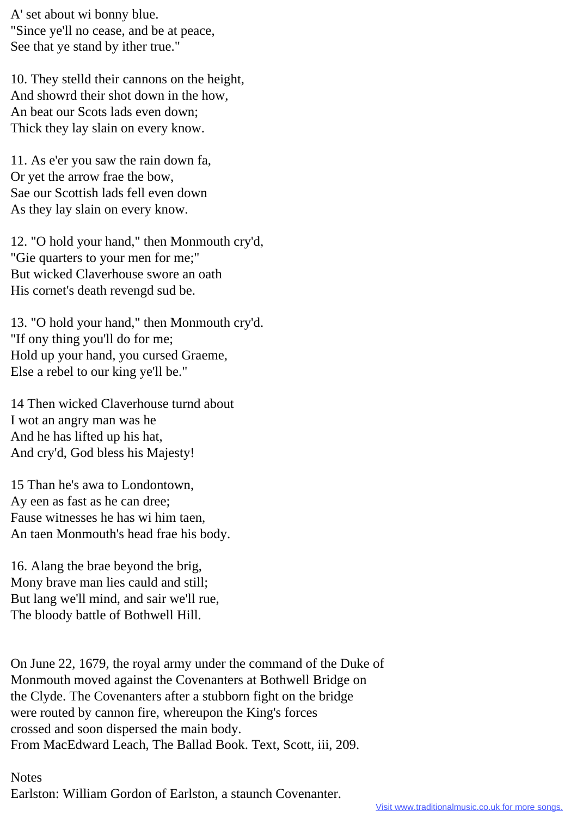A' set about wi bonny blue. "Since ye'll no cease, and be at peace, See that ye stand by ither true."

10. They stelld their cannons on the height, And showrd their shot down in the how, An beat our Scots lads even down; Thick they lay slain on every know.

11. As e'er you saw the rain down fa, Or yet the arrow frae the bow, Sae our Scottish lads fell even down As they lay slain on every know.

12. "O hold your hand," then Monmouth cry'd, "Gie quarters to your men for me;" But wicked Claverhouse swore an oath His cornet's death revengd sud be.

13. "O hold your hand," then Monmouth cry'd. "If ony thing you'll do for me; Hold up your hand, you cursed Graeme, Else a rebel to our king ye'll be."

14 Then wicked Claverhouse turnd about I wot an angry man was he And he has lifted up his hat, And cry'd, God bless his Majesty!

15 Than he's awa to Londontown, Ay een as fast as he can dree; Fause witnesses he has wi him taen, An taen Monmouth's head frae his body.

16. Alang the brae beyond the brig, Mony brave man lies cauld and still; But lang we'll mind, and sair we'll rue, The bloody battle of Bothwell Hill.

On June 22, 1679, the royal army under the command of the Duke of Monmouth moved against the Covenanters at Bothwell Bridge on the Clyde. The Covenanters after a stubborn fight on the bridge were routed by cannon fire, whereupon the King's forces crossed and soon dispersed the main body. From MacEdward Leach, The Ballad Book. Text, Scott, iii, 209.

Notes

Earlston: William Gordon of Earlston, a staunch Covenanter.